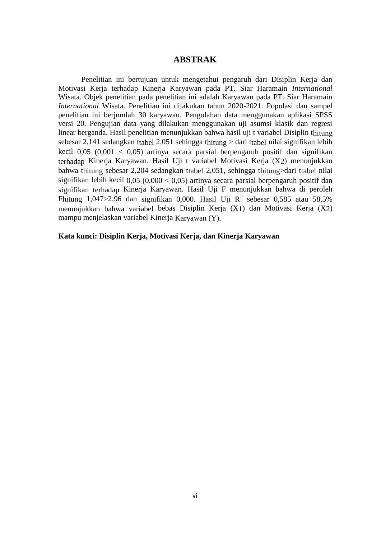## **ABSTRAK**

Penelitian ini bertujuan untuk mengetahui pengaruh dari Disiplin Kerja dan Motivasi Kerja terhadap Kinerja Karyawan pada PT. Siar Haramain *International*  Wisata. Objek penelitian pada penelitian ini adalah Karyawan pada PT. Siar Haramain *International* Wisata. Penelitian ini dilakukan tahun 2020-2021. Populasi dan sampel penelitian ini berjumlah 30 karyawan. Pengolahan data menggunakan aplikasi SPSS versi 20. Pengujian data yang dilakukan menggunakan uji asumsi klasik dan regresi linear berganda. Hasil penelitian menunjukkan bahwa hasil uji t variabel Disiplin thitung sebesar 2,141 sedangkan ttabel 2,051 sehingga thitung > dari ttabel nilai signifikan lebih kecil  $0.05$   $(0.001 \lt 0.05)$  artinya secara parsial berpengaruh positif dan signifikan terhadap Kinerja Karyawan. Hasil Uji t variabel Motivasi Kerja (X2) menunjukkan bahwa thitung sebesar 2,204 sedangkan ttabel 2,051, sehingga thitung>dari ttabel nilai signifikan lebih kecil  $0.05 (0.000 < 0.05)$  artinya secara parsial berpengaruh positif dan signifikan terhadap Kinerja Karyawan. Hasil Uji F menunjukkan bahwa di peroleh Fhitung 1,047>2,96 dan signifikan 0,000. Hasil Uji R*<sup>2</sup>* sebesar 0,585 atau 58,5% menunjukkan bahwa variabel bebas Disiplin Kerja (X1) dan Motivasi Kerja (X2) mampu menjelaskan variabel Kinerja Karyawan (Y).

**Kata kunci: Disiplin Kerja, Motivasi Kerja, dan Kinerja Karyawan**